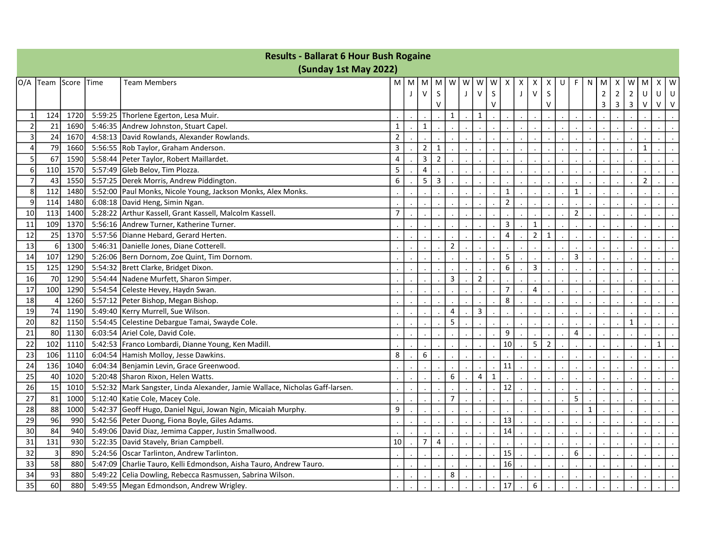| <b>Results - Ballarat 6 Hour Bush Rogaine</b> |                       |      |             |                                                                              |                |   |                         |                |                |   |                |             |                         |              |                |                |   |                  |              |             |                |                |                |              |        |
|-----------------------------------------------|-----------------------|------|-------------|------------------------------------------------------------------------------|----------------|---|-------------------------|----------------|----------------|---|----------------|-------------|-------------------------|--------------|----------------|----------------|---|------------------|--------------|-------------|----------------|----------------|----------------|--------------|--------|
|                                               | (Sunday 1st May 2022) |      |             |                                                                              |                |   |                         |                |                |   |                |             |                         |              |                |                |   |                  |              |             |                |                |                |              |        |
| O/A                                           | Team Score            |      | <b>Time</b> | <b>Team Members</b>                                                          | M l            | M | M                       | M              | W              | W | W              | W           | Χ                       | Х            | х              | х              | U | F                | N            | M           | X              | W              | M              | х            | W      |
|                                               |                       |      |             |                                                                              |                | J | $\mathsf{V}$            | S              |                | J | $\vee$         | S           |                         | $\mathsf{J}$ | $\vee$         | $\mathsf S$    |   |                  |              | $\mathbf 2$ | $\overline{2}$ | $\overline{2}$ | U              | U            | U      |
|                                               |                       |      |             |                                                                              |                |   |                         | V              |                |   |                | V           |                         |              |                | $\vee$         |   |                  |              | 3           | 3              | 3              | v              | $\vee$       | $\vee$ |
| $\mathbf 1$                                   | 124                   | 1720 |             | 5:59:25 Thorlene Egerton, Lesa Muir.                                         |                |   |                         |                | $\mathbf{1}$   |   | $\mathbf{1}$   |             |                         |              |                |                |   |                  |              |             |                |                |                |              |        |
|                                               | 21                    | 1690 |             | 5:46:35 Andrew Johnston, Stuart Capel.                                       | $\mathbf{1}$   |   | $\mathbf{1}$            |                |                |   |                |             |                         |              |                |                |   |                  |              |             |                |                |                |              |        |
| 3                                             | 24                    | 1670 |             | 4:58:13 David Rowlands, Alexander Rowlands.                                  | $\overline{2}$ |   |                         |                |                |   |                |             |                         |              |                |                |   |                  |              |             |                |                |                |              |        |
| $\Delta$                                      | 79                    | 1660 |             | 5:56:55 Rob Taylor, Graham Anderson.                                         | 3              |   | $\overline{2}$          | 1              |                |   |                |             |                         |              |                |                |   |                  |              |             |                |                | 1              |              |        |
| 5                                             | 67                    | 1590 |             | 5:58:44   Peter Taylor, Robert Maillardet.                                   | 4              |   | 3                       | $\overline{2}$ |                |   |                |             |                         |              |                |                |   |                  |              |             |                |                |                |              |        |
| 6                                             | 110                   | 1570 |             | 5:57:49 Gleb Belov, Tim Plozza.                                              | 5              |   | $\overline{\mathbf{4}}$ |                |                |   |                |             |                         |              |                |                |   |                  |              |             |                |                |                |              |        |
|                                               | 43                    | 1550 |             | 5:57:25 Derek Morris, Andrew Piddington.                                     | 6              |   | 5                       | $\overline{3}$ |                |   |                |             |                         |              |                |                |   |                  |              |             |                |                | $\overline{2}$ |              |        |
| 8                                             | 112                   | 1480 |             | 5:52:00 Paul Monks, Nicole Young, Jackson Monks, Alex Monks.                 |                |   |                         |                |                |   |                |             | $\mathbf{1}$            |              |                |                |   | $\mathbf{1}$     |              |             |                |                |                |              |        |
| 9                                             | 114                   | 1480 |             | 6:08:18 David Heng, Simin Ngan.                                              |                |   |                         |                |                |   |                |             | $\overline{2}$          |              |                |                |   |                  |              |             |                |                |                |              |        |
| 10                                            | 113                   | 1400 |             | 5:28:22 Arthur Kassell, Grant Kassell, Malcolm Kassell.                      | $\overline{7}$ |   |                         |                |                |   |                |             |                         |              |                |                |   | $\overline{2}$   |              |             |                |                |                |              |        |
| 11                                            | 109                   | 1370 |             | 5:56:16 Andrew Turner, Katherine Turner.                                     |                |   |                         |                |                |   |                |             | $\overline{\mathbf{3}}$ |              | $\mathbf{1}$   |                |   |                  |              |             |                |                |                |              |        |
| 12                                            | 25                    | 1370 |             | 5:57:56 Dianne Hebard, Gerard Herten.                                        |                |   |                         |                |                |   |                |             | $\overline{4}$          |              | $\overline{2}$ | $\mathbf{1}$   |   |                  |              |             |                |                |                |              |        |
| 13                                            | 6                     | 1300 |             | 5:46:31 Danielle Jones, Diane Cotterell.                                     |                |   |                         |                | $\overline{2}$ |   |                |             |                         |              |                |                |   |                  |              |             |                |                |                |              |        |
| 14                                            | 107                   | 1290 |             | 5:26:06 Bern Dornom, Zoe Quint, Tim Dornom.                                  |                |   |                         |                |                |   |                |             | 5                       |              |                |                |   | $\overline{3}$   |              |             |                |                |                |              |        |
| 15                                            | 125                   | 1290 |             | 5:54:32 Brett Clarke, Bridget Dixon.                                         |                |   |                         |                |                |   |                |             | 6                       |              | 3              |                |   |                  |              |             |                |                |                |              |        |
| 16                                            | 70                    | 1290 |             | 5:54:44 Nadene Murfett, Sharon Simper.                                       |                |   |                         |                | 3              |   | $\overline{2}$ |             |                         |              |                |                |   |                  |              |             |                |                |                |              |        |
| 17                                            | 100                   | 1290 |             | 5:54:54 Celeste Hevey, Haydn Swan.                                           |                |   |                         |                |                |   |                |             | $\overline{7}$          |              | $\overline{4}$ |                |   |                  |              |             |                |                |                |              |        |
| 18                                            | $\overline{4}$        | 1260 |             | 5:57:12 Peter Bishop, Megan Bishop.                                          |                |   |                         |                |                |   |                |             | 8                       |              |                |                |   |                  |              |             |                |                |                |              |        |
| 19                                            | 74                    | 1190 |             | 5:49:40 Kerry Murrell, Sue Wilson.                                           |                |   |                         |                | 4              |   | 3              |             |                         |              |                |                |   |                  |              |             |                |                |                |              |        |
| 20                                            | 82                    | 1150 |             | 5:54:45 Celestine Debargue Tamai, Swayde Cole.                               |                |   |                         |                | 5              |   |                |             |                         |              |                |                |   |                  |              |             |                | $\mathbf{1}$   |                |              |        |
| 21                                            | 80                    | 1130 |             | 6:03:54 Ariel Cole, David Cole.                                              |                |   |                         |                |                |   |                |             | 9                       |              |                |                |   | $\overline{4}$   |              |             |                |                |                |              |        |
| 22                                            | 102                   | 1110 |             | 5:42:53 Franco Lombardi, Dianne Young, Ken Madill.                           |                |   |                         |                |                |   |                |             | 10                      |              | 5              | $\overline{2}$ |   |                  |              |             |                |                |                | $\mathbf{1}$ |        |
| 23                                            | 106                   | 1110 |             | 6:04:54 Hamish Molloy, Jesse Dawkins.                                        | 8              |   | 6                       |                |                |   |                |             |                         |              |                |                |   |                  |              |             |                |                |                |              |        |
| 24                                            | 136                   | 1040 |             | 6:04:34 Benjamin Levin, Grace Greenwood.                                     |                |   |                         |                |                |   |                |             | 11                      |              |                |                |   |                  |              |             |                |                |                |              |        |
| 25                                            | 40                    | 1020 |             | 5:20:48 Sharon Rixon, Helen Watts.                                           |                |   |                         |                | 6              |   | 4              | $\mathbf 1$ |                         |              |                |                |   |                  |              |             |                |                |                |              |        |
| 26                                            | 15                    | 1010 |             | 5:52:32 Mark Sangster, Linda Alexander, Jamie Wallace, Nicholas Gaff-larsen. |                |   |                         |                |                |   |                |             | 12                      |              |                |                |   |                  |              |             |                |                |                |              |        |
| 27                                            | 81                    | 1000 |             | 5:12:40 Katie Cole, Macey Cole.                                              |                |   |                         |                | 7              |   |                |             |                         |              |                |                |   | 5                |              |             |                |                |                |              |        |
| 28                                            | 88                    | 1000 |             | 5:42:37 Geoff Hugo, Daniel Ngui, Jowan Ngin, Micaiah Murphy.                 | 9              |   |                         |                |                |   |                |             |                         |              |                |                |   |                  | $\mathbf{1}$ |             |                |                |                |              |        |
| 29                                            | 96                    | 990  |             | 5:42:56 Peter Duong, Fiona Boyle, Giles Adams.                               |                |   |                         |                |                |   |                |             | 13                      |              |                |                |   |                  |              |             |                |                |                |              |        |
| 30                                            | 84                    | 940  |             | 5:49:06 David Diaz, Jemima Capper, Justin Smallwood.                         |                |   |                         |                |                |   |                |             | 14                      |              |                |                |   |                  |              |             |                |                |                |              |        |
| 31                                            | 131                   | 930  |             | 5:22:35 David Stavely, Brian Campbell.                                       | 10             |   | $\overline{7}$          | $\overline{4}$ |                |   |                |             |                         |              |                |                |   |                  |              |             |                |                |                |              |        |
| 32                                            | $\overline{3}$        | 890  |             | 5:24:56 Oscar Tarlinton, Andrew Tarlinton.                                   |                |   |                         |                |                |   |                |             | 15                      |              |                |                |   | $\boldsymbol{6}$ |              |             |                |                |                |              |        |
| 33                                            | 58                    | 880  |             | 5:47:09 Charlie Tauro, Kelli Edmondson, Aisha Tauro, Andrew Tauro.           |                |   |                         |                |                |   |                |             | 16                      |              |                |                |   |                  |              |             |                |                |                |              |        |
| 34                                            | 93                    | 880  |             | 5:49:22 Celia Dowling, Rebecca Rasmussen, Sabrina Wilson.                    |                |   |                         |                | 8              |   |                |             |                         |              |                |                |   |                  |              |             |                |                |                |              |        |
| 35                                            | 60                    | 880  |             | 5:49:55 Megan Edmondson, Andrew Wrigley.                                     |                |   |                         |                |                |   |                |             | 17                      |              | 6              |                |   |                  |              |             |                |                |                |              |        |